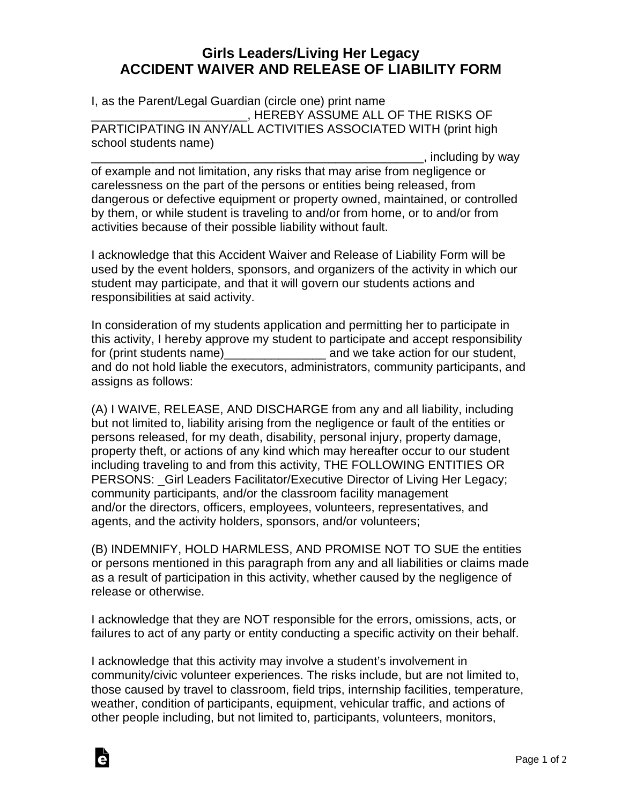## **Girls Leaders/Living Her Legacy ACCIDENT WAIVER AND RELEASE OF LIABILITY FORM**

I, as the Parent/Legal Guardian (circle one) print name \_\_\_\_\_\_\_\_\_\_\_\_\_\_\_\_\_\_\_\_\_\_\_, HEREBY ASSUME ALL OF THE RISKS OF PARTICIPATING IN ANY/ALL ACTIVITIES ASSOCIATED WITH (print high school students name)

. including by way of example and not limitation, any risks that may arise from negligence or carelessness on the part of the persons or entities being released, from dangerous or defective equipment or property owned, maintained, or controlled by them, or while student is traveling to and/or from home, or to and/or from activities because of their possible liability without fault.

I acknowledge that this Accident Waiver and Release of Liability Form will be used by the event holders, sponsors, and organizers of the activity in which our student may participate, and that it will govern our students actions and responsibilities at said activity.

In consideration of my students application and permitting her to participate in this activity, I hereby approve my student to participate and accept responsibility for (print students name) example and we take action for our student, and do not hold liable the executors, administrators, community participants, and assigns as follows:

(A) I WAIVE, RELEASE, AND DISCHARGE from any and all liability, including but not limited to, liability arising from the negligence or fault of the entities or persons released, for my death, disability, personal injury, property damage, property theft, or actions of any kind which may hereafter occur to our student including traveling to and from this activity, THE FOLLOWING ENTITIES OR PERSONS: Girl Leaders Facilitator/Executive Director of Living Her Legacy; community participants, and/or the classroom facility management and/or the directors, officers, employees, volunteers, representatives, and agents, and the activity holders, sponsors, and/or volunteers;

(B) INDEMNIFY, HOLD HARMLESS, AND PROMISE NOT TO SUE the entities or persons mentioned in this paragraph from any and all liabilities or claims made as a result of participation in this activity, whether caused by the negligence of release or otherwise.

I acknowledge that they are NOT responsible for the errors, omissions, acts, or failures to act of any party or entity conducting a specific activity on their behalf.

I acknowledge that this activity may involve a student's involvement in community/civic volunteer experiences. The risks include, but are not limited to, those caused by travel to classroom, field trips, internship facilities, temperature, weather, condition of participants, equipment, vehicular traffic, and actions of other people including, but not limited to, participants, volunteers, monitors,

Ġ